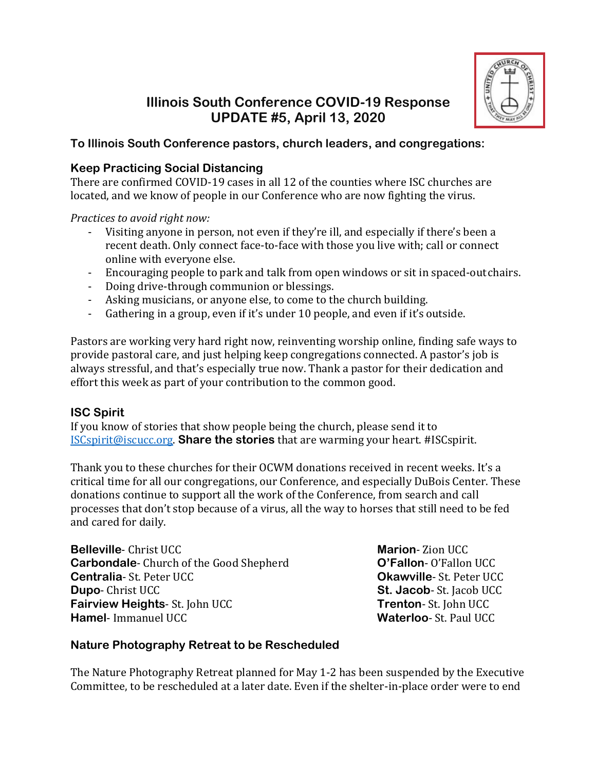

# **Illinois South Conference COVID-19 Response UPDATE #5, April 13, 2020**

# **To Illinois South Conference pastors, church leaders, and congregations:**

# **Keep Practicing Social Distancing**

There are confirmed COVID-19 cases in all 12 of the counties where ISC churches are located, and we know of people in our Conference who are now fighting the virus.

*Practices to avoid right now:*

- Visiting anyone in person, not even if they're ill, and especially if there's been a recent death. Only connect face-to-face with those you live with; call or connect online with everyone else.
- Encouraging people to park and talk from open windows or sit in spaced-out chairs.
- Doing drive-through communion or blessings.
- Asking musicians, or anyone else, to come to the church building.
- Gathering in a group, even if it's under 10 people, and even if it's outside.

Pastors are working very hard right now, reinventing worship online, finding safe ways to provide pastoral care, and just helping keep congregations connected. A pastor's job is always stressful, and that's especially true now. Thank a pastor for their dedication and effort this week as part of your contribution to the common good.

## **ISC Spirit**

If you know of stories that show people being the church, please send it to [ISCspirit@iscucc.org.](mailto:ISCspirit@iscucc.org) **Share the stories** that are warming your heart. #ISCspirit.

Thank you to these churches for their OCWM donations received in recent weeks. It's a critical time for all our congregations, our Conference, and especially DuBois Center. These donations continue to support all the work of the Conference, from search and call processes that don't stop because of a virus, all the way to horses that still need to be fed and cared for daily.

**Belleville**- Christ UCC **Carbondale**- Church of the Good Shepherd **Centralia**- St. Peter UCC **Dupo**- Christ UCC **Fairview Heights**- St. John UCC **Hamel**- Immanuel UCC

**Marion**- Zion UCC **O'Fallon**- O'Fallon UCC **Okawville**- St. Peter UCC **St. Jacob**- St. Jacob UCC **Trenton**- St. John UCC **Waterloo**- St. Paul UCC

# **Nature Photography Retreat to be Rescheduled**

The Nature Photography Retreat planned for May 1-2 has been suspended by the Executive Committee, to be rescheduled at a later date. Even if the shelter-in-place order were to end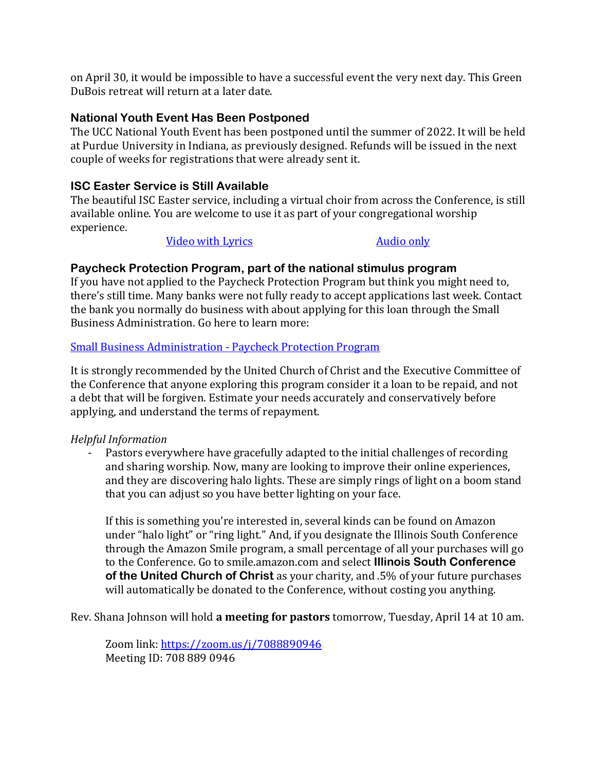on April 30, it would be impossible to have a successful event the very next day. This Green DuBois retreat will return at a later date.

#### **National Youth Event Has Been Postponed**

The UCC National Youth Event has been postponed until the summer of 2022. It will be held at Purdue University in Indiana, as previously designed. Refunds will be issued in the next couple of weeks for registrations that were already sent it.

#### **ISC Easter Service is Still Available**

The beautiful ISC Easter service, including a virtual choir from across the Conference, is still available online. You are welcome to use it as part of your congregational worship experience.

Video with [Lyrics](https://1drv.ms/v/s!AtDdeYzKgzolr106I-diAdCUdkSX?e=Ot6w8X) [Audio only](https://1drv.ms/u/s!AtDdeYzKgzolr2Hyv6sFLiJ_Wc16?e=yqgt8j)

#### **Paycheck Protection Program, part of the national stimulus program**

If you have not applied to the Paycheck Protection Program but think you might need to, there's still time. Many banks were not fully ready to accept applications last week. Contact the bank you normally do business with about applying for this loan through the Small Business Administration. Go here to learn more:

#### [Small Business Administration -](https://www.sba.gov/funding-programs/loans/coronavirus-relief-options/paycheck-protection-program-ppp) Paycheck Protection Program

It is strongly recommended by the United Church of Christ and the Executive Committee of the Conference that anyone exploring this program consider it a loan to be repaid, and not a debt that will be forgiven. Estimate your needs accurately and conservatively before applying, and understand the terms of repayment.

#### *Helpful Information*

- Pastors everywhere have gracefully adapted to the initial challenges of recording and sharing worship. Now, many are looking to improve their online experiences, and they are discovering halo lights. These are simply rings of light on a boom stand that you can adjust so you have better lighting on your face.

If this is something you're interested in, several kinds can be found on Amazon under "halo light" or "ring light." And, if you designate the Illinois South Conference through the Amazon Smile program, a small percentage of all your purchases will go to the Conference. Go to smile.amazon.com and select **Illinois South Conference of the United Church of Christ** as your charity, and .5% of your future purchases will automatically be donated to the Conference, without costing you anything.

Rev. Shana Johnson will hold **a meeting for pastors** tomorrow, Tuesday, April 14 at 10 am.

Zoom link:<https://zoom.us/j/7088890946> Meeting ID: 708 889 0946